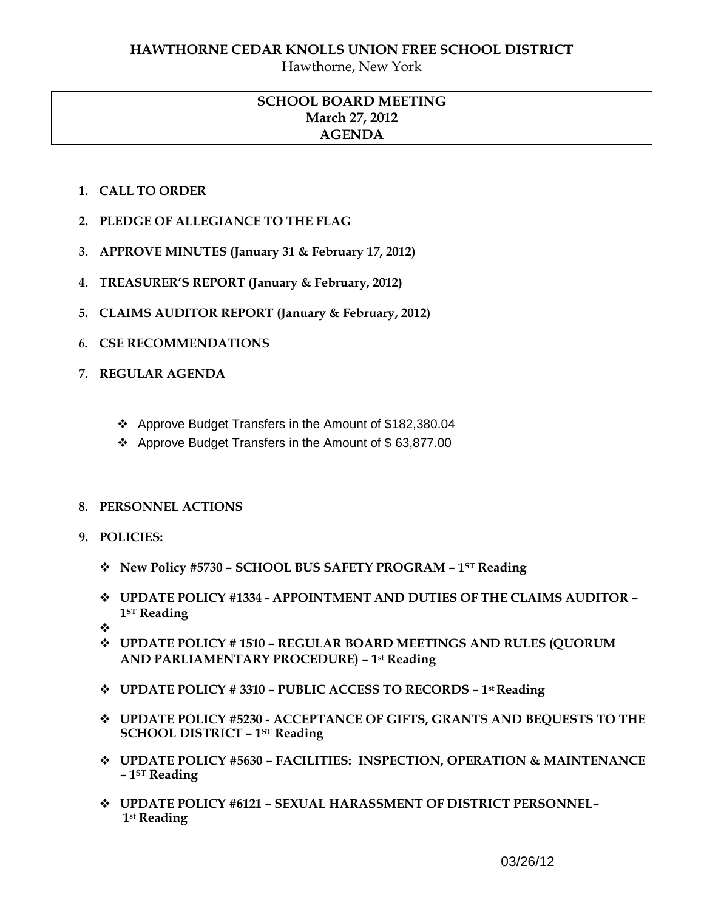Hawthorne, New York

## **SCHOOL BOARD MEETING March 27, 2012 AGENDA**

- **1. CALL TO ORDER**
- **2. PLEDGE OF ALLEGIANCE TO THE FLAG**
- **3. APPROVE MINUTES (January 31 & February 17, 2012)**
- **4. TREASURER'S REPORT (January & February, 2012)**
- **5. CLAIMS AUDITOR REPORT (January & February, 2012)**
- *6.* **CSE RECOMMENDATIONS**
- **7. REGULAR AGENDA** 
	- Approve Budget Transfers in the Amount of \$182,380.04
	- Approve Budget Transfers in the Amount of \$ 63,877.00

## **8. PERSONNEL ACTIONS**

- **9. POLICIES:** 
	- **New Policy #5730 – SCHOOL BUS SAFETY PROGRAM – 1ST Reading**
	- **UPDATE POLICY #1334 - APPOINTMENT AND DUTIES OF THE CLAIMS AUDITOR – 1ST Reading**
	- ❖
	- **UPDATE POLICY # 1510 – REGULAR BOARD MEETINGS AND RULES (QUORUM AND PARLIAMENTARY PROCEDURE) – 1st Reading**
	- **UPDATE POLICY # 3310 – PUBLIC ACCESS TO RECORDS – 1st Reading**
	- **UPDATE POLICY #5230 - ACCEPTANCE OF GIFTS, GRANTS AND BEQUESTS TO THE SCHOOL DISTRICT – 1ST Reading**
	- **UPDATE POLICY #5630 – FACILITIES: INSPECTION, OPERATION & MAINTENANCE – 1ST Reading**
	- **UPDATE POLICY #6121 – SEXUAL HARASSMENT OF DISTRICT PERSONNEL– 1st Reading**